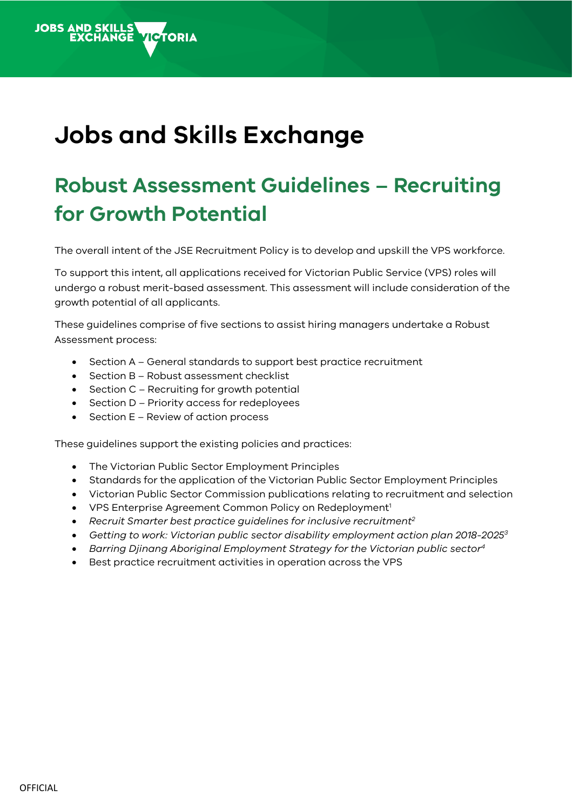# **Jobs and Skills Exchange**

**VICTORIA** 

**JOBS AND SKILLS<br>EXCHANGE** 

## **Robust Assessment Guidelines – Recruiting for Growth Potential**

The overall intent of the JSE Recruitment Policy is to develop and upskill the VPS workforce.

To support this intent, all applications received for Victorian Public Service (VPS) roles will undergo a robust merit-based assessment. This assessment will include consideration of the growth potential of all applicants.

These guidelines comprise of five sections to assist hiring managers undertake a Robust Assessment process:

- Section A General standards to support best practice recruitment
- Section B Robust assessment checklist
- Section C Recruiting for growth potential
- Section D Priority access for redeployees
- Section E Review of action process

These guidelines support the existing policies and practices:

- The Victorian Public Sector Employment Principles
- Standards for the application of the Victorian Public Sector Employment Principles
- Victorian Public Sector Commission publications relating to recruitment and selection
- VPS Enterprise Agreement Common Policy on Redeployment<sup>1</sup>
- *Recruit Smarter best practice guidelines for inclusive recruitment 2*
- *Getting to work: Victorian public sector disability employment action plan 2018-2025<sup>3</sup>*
- *Barring Djinang Aboriginal Employment Strategy for the Victorian public sector 4*
- Best practice recruitment activities in operation across the VPS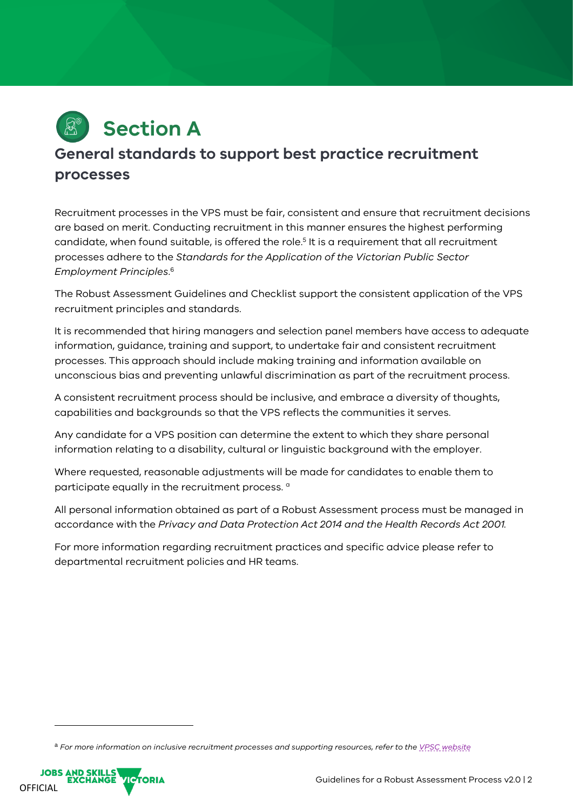

## **General standards to support best practice recruitment processes**

Recruitment processes in the VPS must be fair, consistent and ensure that recruitment decisions are based on merit. Conducting recruitment in this manner ensures the highest performing candidate, when found suitable, is offered the role.<sup>5</sup> It is a requirement that all recruitment processes adhere to the *Standards for the Application of the Victorian Public Sector Employment Principles*. 6

The Robust Assessment Guidelines and Checklist support the consistent application of the VPS recruitment principles and standards.

It is recommended that hiring managers and selection panel members have access to adequate information, guidance, training and support, to undertake fair and consistent recruitment processes. This approach should include making training and information available on unconscious bias and preventing unlawful discrimination as part of the recruitment process.

A consistent recruitment process should be inclusive, and embrace a diversity of thoughts, capabilities and backgrounds so that the VPS reflects the communities it serves.

Any candidate for a VPS position can determine the extent to which they share personal information relating to a disability, cultural or linguistic background with the employer.

Where requested, reasonable adjustments will be made for candidates to enable them to participate equally in the recruitment process.<sup>a</sup>

All personal information obtained as part of a Robust Assessment process must be managed in accordance with the *Privacy and Data Protection Act 2014 and the Health Records Act 2001.*

For more information regarding recruitment practices and specific advice please refer to departmental recruitment policies and HR teams.

<sup>a</sup> *For more information on inclusive recruitment processes and supporting resources, refer to the [VPSC website](https://vpsc.vic.gov.au/)*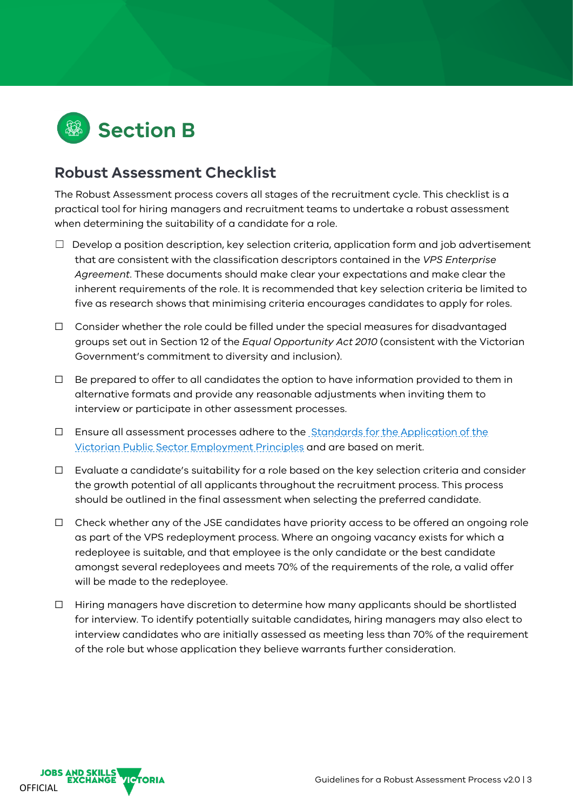

### **Robust Assessment Checklist**

The Robust Assessment process covers all stages of the recruitment cycle. This checklist is a practical tool for hiring managers and recruitment teams to undertake a robust assessment when determining the suitability of a candidate for a role.

- $\Box$  Develop a position description, key selection criteria, application form and job advertisement that are consistent with the classification descriptors contained in the *VPS Enterprise Agreement*. These documents should make clear your expectations and make clear the inherent requirements of the role. It is recommended that key selection criteria be limited to five as research shows that minimising criteria encourages candidates to apply for roles.
- $\Box$  Consider whether the role could be filled under the special measures for disadvantaged groups set out in Section 12 of the *Equal Opportunity Act 2010* (consistent with the Victorian Government's commitment to diversity and inclusion).
- $\Box$  Be prepared to offer to all candidates the option to have information provided to them in alternative formats and provide any reasonable adjustments when inviting them to interview or participate in other assessment processes.
- $\Box$  Ensure all assessment processes adhere to the Standards for the Application of the [Victorian Public Sector Employment Principles](https://vpsc.vic.gov.au/html-resources/standards-for-application-of-the-victorian-public-sector-employment-principles/) and are based on merit.
- $\Box$  Evaluate a candidate's suitability for a role based on the key selection criteria and consider the growth potential of all applicants throughout the recruitment process. This process should be outlined in the final assessment when selecting the preferred candidate.
- $\Box$  Check whether any of the JSE candidates have priority access to be offered an ongoing role as part of the VPS redeployment process. Where an ongoing vacancy exists for which a redeployee is suitable, and that employee is the only candidate or the best candidate amongst several redeployees and meets 70% of the requirements of the role, a valid offer will be made to the redeployee.
- ☐ Hiring managers have discretion to determine how many applicants should be shortlisted for interview. To identify potentially suitable candidates, hiring managers may also elect to interview candidates who are initially assessed as meeting less than 70% of the requirement of the role but whose application they believe warrants further consideration.

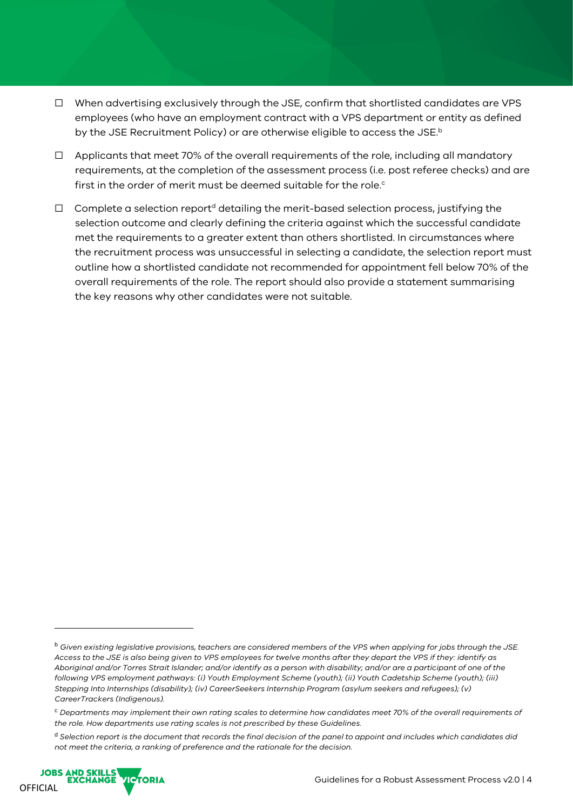- ☐ When advertising exclusively through the JSE, confirm that shortlisted candidates are VPS employees (who have an employment contract with a VPS department or entity as defined by the JSE Recruitment Policy) or are otherwise eligible to access the JSE. b
- $\Box$  Applicants that meet 70% of the overall requirements of the role, including all mandatory requirements, at the completion of the assessment process (i.e. post referee checks) and are first in the order of merit must be deemed suitable for the role. $^{\circ}$
- $\Box$  Complete a selection report<sup>d</sup> detailing the merit-based selection process, justifying the selection outcome and clearly defining the criteria against which the successful candidate met the requirements to a greater extent than others shortlisted. In circumstances where the recruitment process was unsuccessful in selecting a candidate, the selection report must outline how a shortlisted candidate not recommended for appointment fell below 70% of the overall requirements of the role. The report should also provide a statement summarising the key reasons why other candidates were not suitable.

<sup>d</sup> *Selection report is the document that records the final decision of the panel to appoint and includes which candidates did not meet the criteria, a ranking of preference and the rationale for the decision.*



<sup>b</sup> *Given existing legislative provisions, teachers are considered members of the VPS when applying for jobs through the JSE. Access to the JSE is also being given to VPS employees for twelve months after they depart the VPS if they: identify as Aboriginal and/or Torres Strait Islander; and/or identify as a person with disability; and/or are a participant of one of the following VPS employment pathways: (i) Youth Employment Scheme (youth); (ii) Youth Cadetship Scheme (youth); (iii) Stepping Into Internships (disability); (iv) CareerSeekers Internship Program (asylum seekers and refugees); (v) CareerTrackers (Indigenous).* 

<sup>c</sup> *Departments may implement their own rating scales to determine how candidates meet 70% of the overall requirements of the role. How departments use rating scales is not prescribed by these Guidelines.*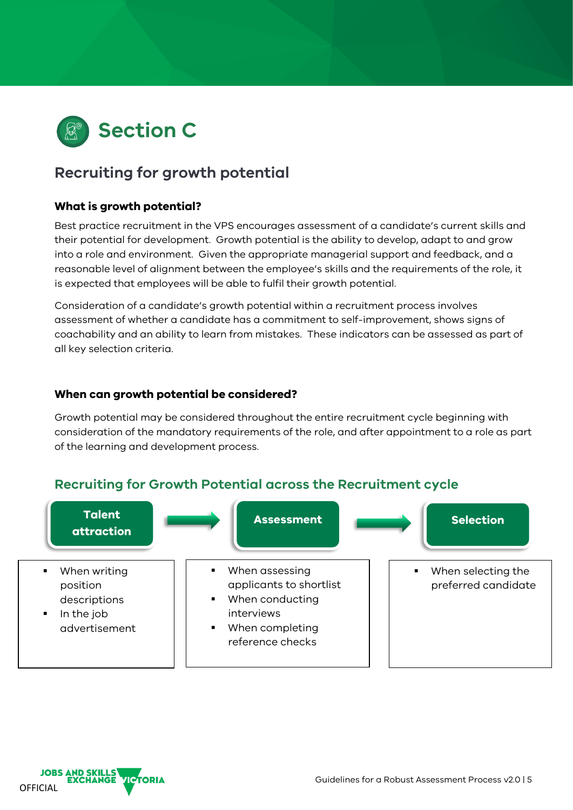

## **Recruiting for growth potential**

#### **What is growth potential?**

Best practice recruitment in the VPS encourages assessment of a candidate's current skills and their potential for development. Growth potential is the ability to develop, adapt to and grow into a role and environment. Given the appropriate managerial support and feedback, and a reasonable level of alignment between the employee's skills and the requirements of the role, it is expected that employees will be able to fulfil their growth potential.

Consideration of a candidate's growth potential within a recruitment process involves assessment of whether a candidate has a commitment to self-improvement, shows signs of coachability and an ability to learn from mistakes. These indicators can be assessed as part of all key selection criteria.

#### **When can growth potential be considered?**

Growth potential may be considered throughout the entire recruitment cycle beginning with consideration of the mandatory requirements of the role, and after appointment to a role as part of the learning and development process.

#### **Recruiting for Growth Potential across the Recruitment cycle**



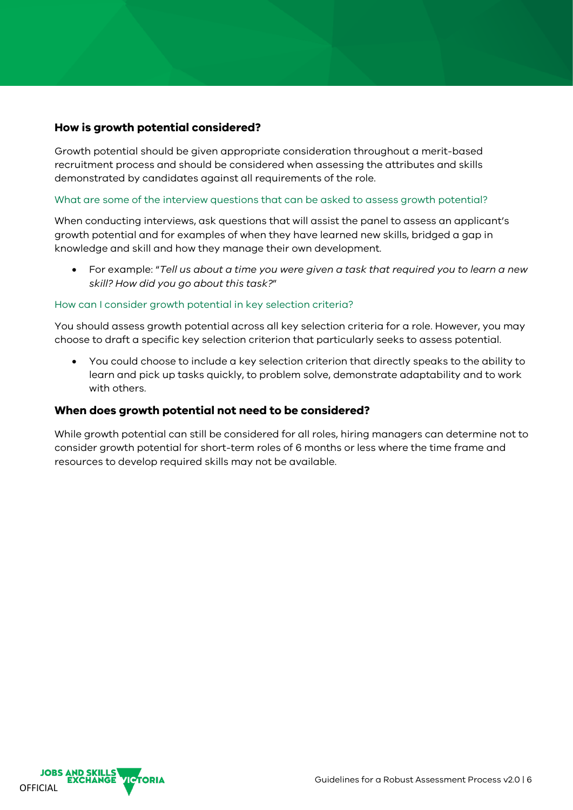#### **How is growth potential considered?**

Growth potential should be given appropriate consideration throughout a merit-based recruitment process and should be considered when assessing the attributes and skills demonstrated by candidates against all requirements of the role.

#### What are some of the interview questions that can be asked to assess growth potential?

When conducting interviews, ask questions that will assist the panel to assess an applicant's growth potential and for examples of when they have learned new skills, bridged a gap in knowledge and skill and how they manage their own development.

• For example: "*Tell us about a time you were given a task that required you to learn a new skill? How did you go about this task?*"

#### How can I consider growth potential in key selection criteria?

You should assess growth potential across all key selection criteria for a role. However, you may choose to draft a specific key selection criterion that particularly seeks to assess potential.

• You could choose to include a key selection criterion that directly speaks to the ability to learn and pick up tasks quickly, to problem solve, demonstrate adaptability and to work with others.

#### **When does growth potential not need to be considered?**

While growth potential can still be considered for all roles, hiring managers can determine not to consider growth potential for short-term roles of 6 months or less where the time frame and resources to develop required skills may not be available.

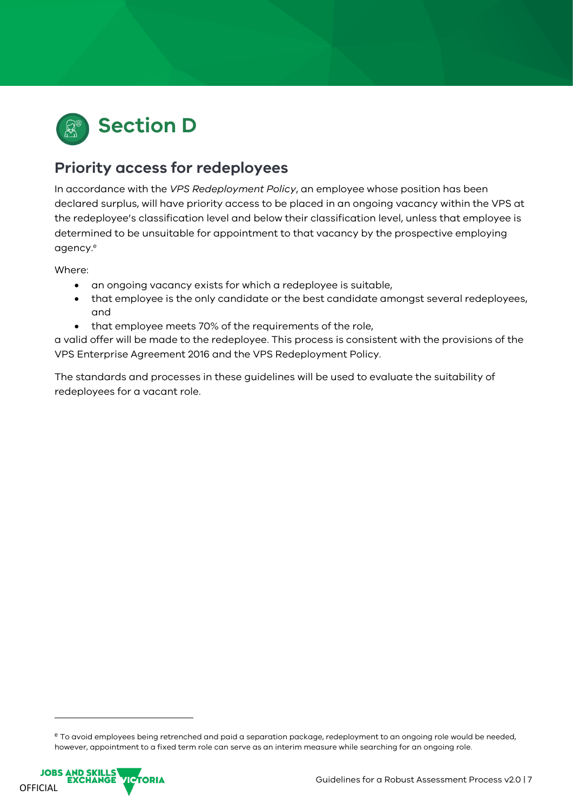

## **Priority access for redeployees**

In accordance with the *VPS Redeployment Policy*, an employee whose position has been declared surplus, will have priority access to be placed in an ongoing vacancy within the VPS at the redeployee's classification level and below their classification level, unless that employee is determined to be unsuitable for appointment to that vacancy by the prospective employing agency. e

Where:

- an ongoing vacancy exists for which a redeployee is suitable,
- that employee is the only candidate or the best candidate amongst several redeployees, and
- that employee meets 70% of the requirements of the role,

a valid offer will be made to the redeployee. This process is consistent with the provisions of the VPS Enterprise Agreement 2016 and the VPS Redeployment Policy.

The standards and processes in these guidelines will be used to evaluate the suitability of redeployees for a vacant role.

e To avoid employees being retrenched and paid a separation package, redeployment to an ongoing role would be needed, however, appointment to a fixed term role can serve as an interim measure while searching for an ongoing role.

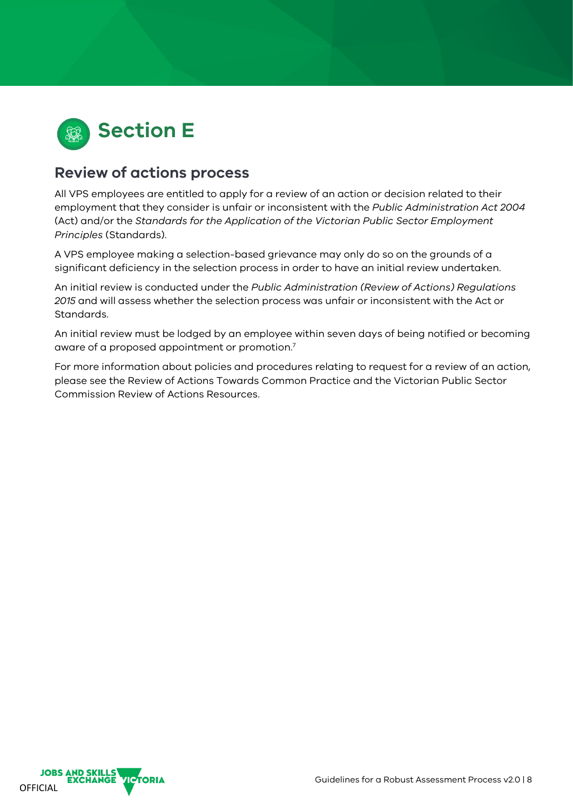

### **Review of actions process**

All VPS employees are entitled to apply for a review of an action or decision related to their employment that they consider is unfair or inconsistent with the *Public Administration Act 2004* (Act) and/or the *Standards for the Application of the Victorian Public Sector Employment Principles* (Standards).

A VPS employee making a selection-based grievance may only do so on the grounds of a significant deficiency in the selection process in order to have an initial review undertaken.

An initial review is conducted under the *Public Administration (Review of Actions) Regulations 2015* and will assess whether the selection process was unfair or inconsistent with the Act or Standards.

An initial review must be lodged by an employee within seven days of being notified or becoming aware of a proposed appointment or promotion. $^7$ 

For more information about policies and procedures relating to request for a review of an action, please see the Review of Actions Towards Common Practice and the Victorian Public Sector Commission Review of Actions Resources.